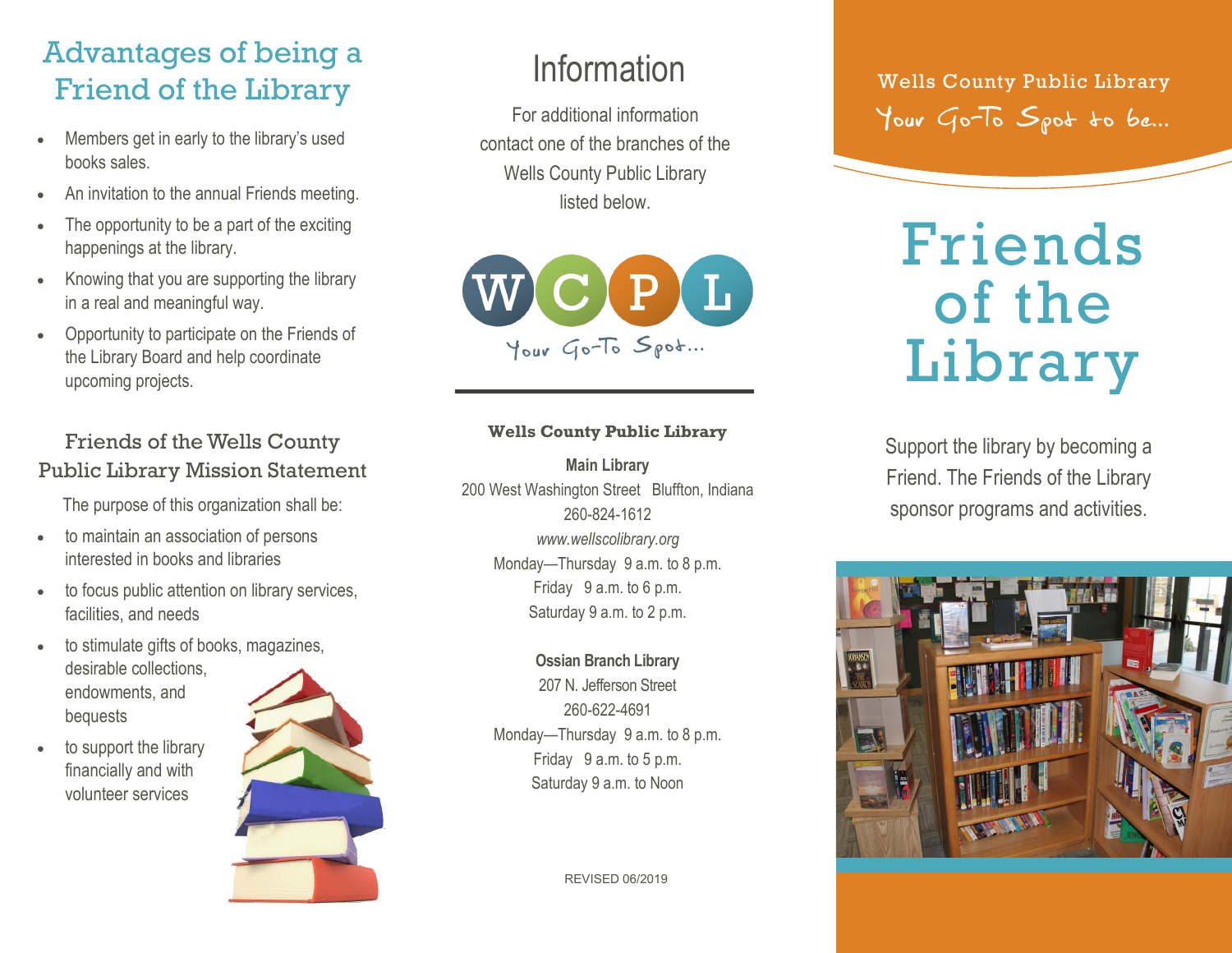# Advantages of being a Friend of the Library

- Members get in early to the library's used books sales.
- An invitation to the annual Friends meeting.
- The opportunity to be a part of the exciting happenings at the library.
- Knowing that you are supporting the library in a real and meaningful way.
- Opportunity to participate on the Friends of the Library Board and help coordinate upcoming projects.

### Friends of the Wells County Public Library Mission Statement

The purpose of this organization shall be:

- to maintain an association of persons interested in books and libraries
- to focus public attention on library services, facilities, and needs
- to stimulate gifts of books, magazines, desirable collections, endowments, and bequests
- to support the library financially and with volunteer services



For additional information contact one of the branches of the Wells County Public Library listed below.



#### **Wells County Public Library**

**Main Library** 200 West Washington Street Bluffton, Indiana 260-824-1612 *www.wellscolibrary.org* Monday—Thursday 9 a.m. to 8 p.m. Friday 9 a.m. to 6 p.m. Saturday 9 a.m. to 2 p.m.

> **Ossian Branch Library**  207 N. Jefferson Street 260-622-4691 Monday—Thursday 9 a.m. to 8 p.m. Friday 9 a.m. to 5 p.m. Saturday 9 a.m. to Noon

> > REVISED 06/2019

Information Wells County Public Library Your Go-To Spot to be...

# Friends of the Library

Support the library by becoming a Friend. The Friends of the Library sponsor programs and activities.